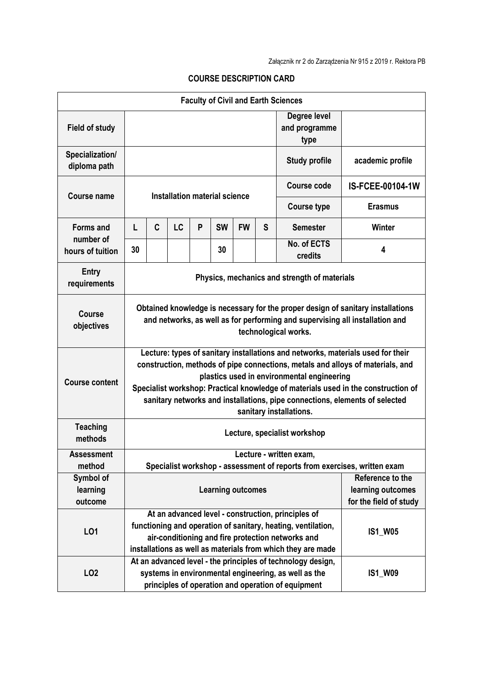| <b>Faculty of Civil and Earth Sciences</b> |                                                                                                                                                                                                                                                                                                                                                                                                                |                         |    |                |           |           |                  |                                       |                                                                 |
|--------------------------------------------|----------------------------------------------------------------------------------------------------------------------------------------------------------------------------------------------------------------------------------------------------------------------------------------------------------------------------------------------------------------------------------------------------------------|-------------------------|----|----------------|-----------|-----------|------------------|---------------------------------------|-----------------------------------------------------------------|
| <b>Field of study</b>                      |                                                                                                                                                                                                                                                                                                                                                                                                                |                         |    |                |           |           |                  | Degree level<br>and programme<br>type |                                                                 |
| Specialization/<br>diploma path            | <b>Study profile</b>                                                                                                                                                                                                                                                                                                                                                                                           |                         |    |                |           |           | academic profile |                                       |                                                                 |
| <b>Course name</b>                         | Installation material science                                                                                                                                                                                                                                                                                                                                                                                  |                         |    |                |           |           |                  | Course code                           | IS-FCEE-00104-1W                                                |
|                                            |                                                                                                                                                                                                                                                                                                                                                                                                                |                         |    |                |           |           |                  | <b>Course type</b>                    | <b>Erasmus</b>                                                  |
| <b>Forms and</b>                           | L                                                                                                                                                                                                                                                                                                                                                                                                              | C                       | LC | P              | <b>SW</b> | <b>FW</b> | S                | <b>Semester</b>                       | Winter                                                          |
| number of<br>hours of tuition              | 30                                                                                                                                                                                                                                                                                                                                                                                                             |                         |    |                | 30        |           |                  | No. of ECTS<br>credits                | 4                                                               |
| <b>Entry</b><br>requirements               | Physics, mechanics and strength of materials                                                                                                                                                                                                                                                                                                                                                                   |                         |    |                |           |           |                  |                                       |                                                                 |
| <b>Course</b><br>objectives                | Obtained knowledge is necessary for the proper design of sanitary installations<br>and networks, as well as for performing and supervising all installation and<br>technological works.                                                                                                                                                                                                                        |                         |    |                |           |           |                  |                                       |                                                                 |
| <b>Course content</b>                      | Lecture: types of sanitary installations and networks, materials used for their<br>construction, methods of pipe connections, metals and alloys of materials, and<br>plastics used in environmental engineering<br>Specialist workshop: Practical knowledge of materials used in the construction of<br>sanitary networks and installations, pipe connections, elements of selected<br>sanitary installations. |                         |    |                |           |           |                  |                                       |                                                                 |
| <b>Teaching</b><br>methods                 | Lecture, specialist workshop                                                                                                                                                                                                                                                                                                                                                                                   |                         |    |                |           |           |                  |                                       |                                                                 |
| <b>Assessment</b><br>method                |                                                                                                                                                                                                                                                                                                                                                                                                                | Lecture - written exam, |    |                |           |           |                  |                                       |                                                                 |
| Symbol of<br>learning<br>outcome           | Specialist workshop - assessment of reports from exercises, written exam<br><b>Learning outcomes</b>                                                                                                                                                                                                                                                                                                           |                         |    |                |           |           |                  |                                       | Reference to the<br>learning outcomes<br>for the field of study |
| LO1                                        | At an advanced level - construction, principles of<br>functioning and operation of sanitary, heating, ventilation,<br>air-conditioning and fire protection networks and<br>installations as well as materials from which they are made                                                                                                                                                                         |                         |    |                |           |           | <b>IS1_W05</b>   |                                       |                                                                 |
| LO <sub>2</sub>                            | At an advanced level - the principles of technology design,<br>systems in environmental engineering, as well as the<br>principles of operation and operation of equipment                                                                                                                                                                                                                                      |                         |    | <b>IS1_W09</b> |           |           |                  |                                       |                                                                 |

## **COURSE DESCRIPTION CARD**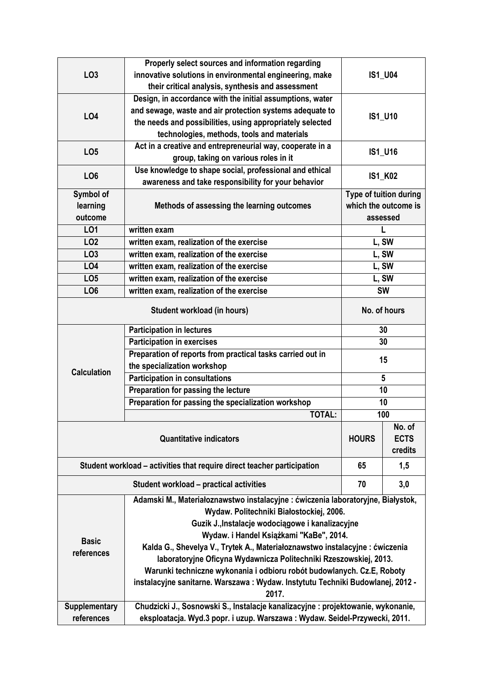|                    | Properly select sources and information regarding                                |                        |             |  |  |  |  |
|--------------------|----------------------------------------------------------------------------------|------------------------|-------------|--|--|--|--|
| LO <sub>3</sub>    | innovative solutions in environmental engineering, make                          | <b>IS1_U04</b>         |             |  |  |  |  |
|                    | their critical analysis, synthesis and assessment                                |                        |             |  |  |  |  |
|                    | Design, in accordance with the initial assumptions, water                        |                        |             |  |  |  |  |
| LO <sub>4</sub>    | and sewage, waste and air protection systems adequate to                         | <b>IS1 U10</b>         |             |  |  |  |  |
|                    | the needs and possibilities, using appropriately selected                        |                        |             |  |  |  |  |
|                    | technologies, methods, tools and materials                                       |                        |             |  |  |  |  |
| LO <sub>5</sub>    | Act in a creative and entrepreneurial way, cooperate in a                        | IS1_U16                |             |  |  |  |  |
|                    | group, taking on various roles in it                                             |                        |             |  |  |  |  |
| LO <sub>6</sub>    | Use knowledge to shape social, professional and ethical                          | <b>IS1 K02</b>         |             |  |  |  |  |
|                    | awareness and take responsibility for your behavior                              |                        |             |  |  |  |  |
| Symbol of          |                                                                                  | Type of tuition during |             |  |  |  |  |
| learning           | Methods of assessing the learning outcomes                                       | which the outcome is   |             |  |  |  |  |
| outcome            |                                                                                  | assessed               |             |  |  |  |  |
| LO1                | written exam                                                                     | L                      |             |  |  |  |  |
| LO <sub>2</sub>    | written exam, realization of the exercise                                        |                        | L, SW       |  |  |  |  |
| LO <sub>3</sub>    | written exam, realization of the exercise                                        | L, SW                  |             |  |  |  |  |
| LO <sub>4</sub>    | written exam, realization of the exercise                                        | L, SW                  |             |  |  |  |  |
| LO <sub>5</sub>    | written exam, realization of the exercise                                        | L, SW                  |             |  |  |  |  |
| LO <sub>6</sub>    | written exam, realization of the exercise<br><b>SW</b>                           |                        |             |  |  |  |  |
|                    | No. of hours                                                                     |                        |             |  |  |  |  |
|                    | <b>Participation in lectures</b>                                                 | 30                     |             |  |  |  |  |
|                    | <b>Participation in exercises</b>                                                | 30                     |             |  |  |  |  |
|                    | Preparation of reports from practical tasks carried out in                       | 15                     |             |  |  |  |  |
| <b>Calculation</b> | the specialization workshop                                                      |                        |             |  |  |  |  |
|                    | <b>Participation in consultations</b>                                            | $5\phantom{.0}$        |             |  |  |  |  |
|                    | Preparation for passing the lecture                                              | 10                     |             |  |  |  |  |
|                    | Preparation for passing the specialization workshop                              | 10                     |             |  |  |  |  |
|                    | <b>TOTAL:</b>                                                                    | 100                    |             |  |  |  |  |
|                    |                                                                                  |                        | No. of      |  |  |  |  |
|                    | <b>Quantitative indicators</b>                                                   | <b>HOURS</b>           | <b>ECTS</b> |  |  |  |  |
|                    |                                                                                  |                        | credits     |  |  |  |  |
|                    | Student workload - activities that require direct teacher participation          | 65                     | 1,5         |  |  |  |  |
|                    | <b>Student workload - practical activities</b>                                   | 70                     | 3,0         |  |  |  |  |
|                    | Adamski M., Materiałoznawstwo instalacyjne : ćwiczenia laboratoryjne, Białystok, |                        |             |  |  |  |  |
|                    | Wydaw. Politechniki Białostockiej, 2006.                                         |                        |             |  |  |  |  |
|                    | Guzik J., Instalacje wodociągowe i kanalizacyjne                                 |                        |             |  |  |  |  |
| <b>Basic</b>       | Wydaw. i Handel Książkami "KaBe", 2014.                                          |                        |             |  |  |  |  |
| references         | Kalda G., Shevelya V., Trytek A., Materiałoznawstwo instalacyjne : ćwiczenia     |                        |             |  |  |  |  |
|                    | laboratoryjne Oficyna Wydawnicza Politechniki Rzeszowskiej, 2013.                |                        |             |  |  |  |  |
|                    | Warunki techniczne wykonania i odbioru robót budowlanych. Cz.E, Roboty           |                        |             |  |  |  |  |
|                    | instalacyjne sanitarne. Warszawa: Wydaw. Instytutu Techniki Budowlanej, 2012 -   |                        |             |  |  |  |  |
|                    | 2017.                                                                            |                        |             |  |  |  |  |
| Supplementary      | Chudzicki J., Sosnowski S., Instalacje kanalizacyjne : projektowanie, wykonanie, |                        |             |  |  |  |  |
| references         | eksploatacja. Wyd.3 popr. i uzup. Warszawa : Wydaw. Seidel-Przywecki, 2011.      |                        |             |  |  |  |  |